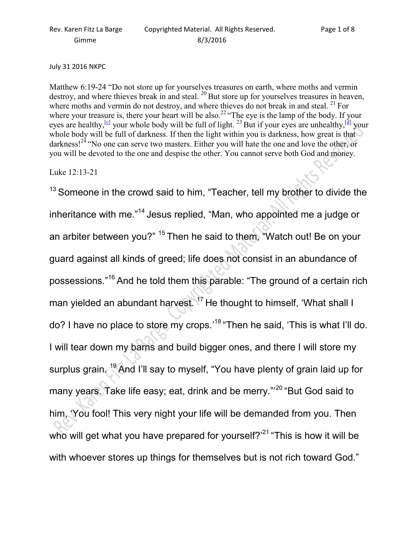## July 31 2016 NKPC

Matthew 6:19-24 "Do not store up for yourselves treasures on earth, where moths and vermin destroy, and where thieves break in and steal.  $^{20}$  But store up for yourselves treasures in heaven, where moths and vermin do not destroy, and where thieves do not break in and steal. <sup>21</sup> For where your treasure is, there your heart will be also.<sup>22</sup> "The eye is the lamp of the body. If your eyes are healthy,<sup>[c]</sup> your whole body will be full of light. <sup>23</sup> But if your eyes are unhealthy,<sup>[d]</sup> your whole body will be full of darkness. If then the light within you is darkness, how great is that darkness!<sup>24</sup> "No one can serve two masters. Either you will hate the one and love the other, or you will be devoted to the one and despise the other. You cannot serve both God and money.

Luke 12:13-21

 $13$  Someone in the crowd said to him, "Teacher, tell my brother to divide the inheritance with me."<sup>14</sup> Jesus replied, "Man, who appointed me a judge or an arbiter between you?" <sup>15</sup> Then he said to them, "Watch out! Be on your guard against all kinds of greed; life does not consist in an abundance of possessions."<sup>16</sup>And he told them this parable: "The ground of a certain rich man yielded an abundant harvest.<sup>17</sup> He thought to himself, 'What shall I do? I have no place to store my crops.'<sup>18</sup> "Then he said, 'This is what I'll do. I will tear down my barns and build bigger ones, and there I will store my surplus grain.<sup>19</sup> And I'll say to myself, "You have plenty of grain laid up for many years. Take life easy; eat, drink and be merry."<sup>20</sup> "But God said to him, 'You fool! This very night your life will be demanded from you. Then who will get what you have prepared for yourself? $2^{21}$  "This is how it will be with whoever stores up things for themselves but is not rich toward God."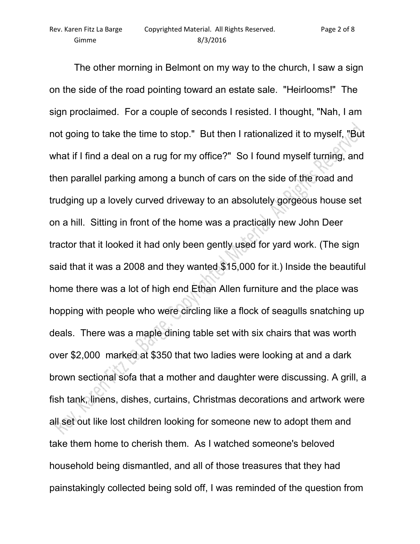The other morning in Belmont on my way to the church, I saw a sign on the side of the road pointing toward an estate sale. "Heirlooms!" The sign proclaimed. For a couple of seconds I resisted. I thought, "Nah, I am not going to take the time to stop." But then I rationalized it to myself, "But what if I find a deal on a rug for my office?" So I found myself turning, and then parallel parking among a bunch of cars on the side of the road and trudging up a lovely curved driveway to an absolutely gorgeous house set on a hill. Sitting in front of the home was a practically new John Deer tractor that it looked it had only been gently used for yard work. (The sign said that it was a 2008 and they wanted \$15,000 for it.) Inside the beautiful home there was a lot of high end Ethan Allen furniture and the place was hopping with people who were circling like a flock of seagulls snatching up deals. There was a maple dining table set with six chairs that was worth over \$2,000 marked at \$350 that two ladies were looking at and a dark brown sectional sofa that a mother and daughter were discussing. A grill, a fish tank, linens, dishes, curtains, Christmas decorations and artwork were all set out like lost children looking for someone new to adopt them and take them home to cherish them. As I watched someone's beloved household being dismantled, and all of those treasures that they had painstakingly collected being sold off, I was reminded of the question from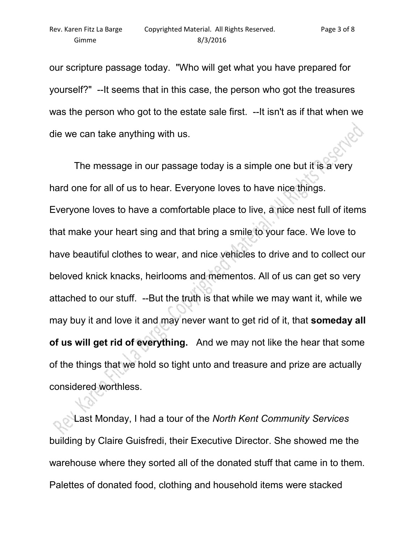our scripture passage today. "Who will get what you have prepared for yourself?" --It seems that in this case, the person who got the treasures was the person who got to the estate sale first. --It isn't as if that when we die we can take anything with us.

 The message in our passage today is a simple one but it is a very hard one for all of us to hear. Everyone loves to have nice things. Everyone loves to have a comfortable place to live, a nice nest full of items that make your heart sing and that bring a smile to your face. We love to have beautiful clothes to wear, and nice vehicles to drive and to collect our beloved knick knacks, heirlooms and mementos. All of us can get so very attached to our stuff. --But the truth is that while we may want it, while we may buy it and love it and may never want to get rid of it, that **someday all of us will get rid of everything.** And we may not like the hear that some of the things that we hold so tight unto and treasure and prize are actually considered worthless.

 Last Monday, I had a tour of the *North Kent Community Services* building by Claire Guisfredi, their Executive Director. She showed me the warehouse where they sorted all of the donated stuff that came in to them. Palettes of donated food, clothing and household items were stacked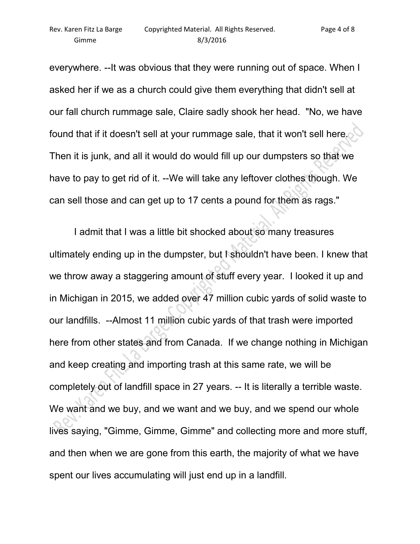everywhere. --It was obvious that they were running out of space. When I asked her if we as a church could give them everything that didn't sell at our fall church rummage sale, Claire sadly shook her head. "No, we have found that if it doesn't sell at your rummage sale, that it won't sell here. Then it is junk, and all it would do would fill up our dumpsters so that we have to pay to get rid of it. --We will take any leftover clothes though. We can sell those and can get up to 17 cents a pound for them as rags."

 I admit that I was a little bit shocked about so many treasures ultimately ending up in the dumpster, but I shouldn't have been. I knew that we throw away a staggering amount of stuff every year. I looked it up and in Michigan in 2015, we added over 47 million cubic yards of solid waste to our landfills. --Almost 11 million cubic yards of that trash were imported here from other states and from Canada. If we change nothing in Michigan and keep creating and importing trash at this same rate, we will be completely out of landfill space in 27 years. -- It is literally a terrible waste. We want and we buy, and we want and we buy, and we spend our whole lives saying, "Gimme, Gimme, Gimme" and collecting more and more stuff, and then when we are gone from this earth, the majority of what we have spent our lives accumulating will just end up in a landfill.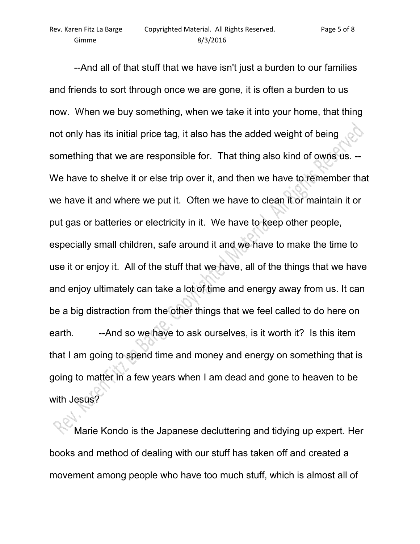--And all of that stuff that we have isn't just a burden to our families and friends to sort through once we are gone, it is often a burden to us now. When we buy something, when we take it into your home, that thing not only has its initial price tag, it also has the added weight of being something that we are responsible for. That thing also kind of owns us. -- We have to shelve it or else trip over it, and then we have to remember that we have it and where we put it. Often we have to clean it or maintain it or put gas or batteries or electricity in it. We have to keep other people, especially small children, safe around it and we have to make the time to use it or enjoy it. All of the stuff that we have, all of the things that we have and enjoy ultimately can take a lot of time and energy away from us. It can be a big distraction from the other things that we feel called to do here on earth. --And so we have to ask ourselves, is it worth it? Is this item that I am going to spend time and money and energy on something that is going to matter in a few years when I am dead and gone to heaven to be with Jesus?

 Marie Kondo is the Japanese decluttering and tidying up expert. Her books and method of dealing with our stuff has taken off and created a movement among people who have too much stuff, which is almost all of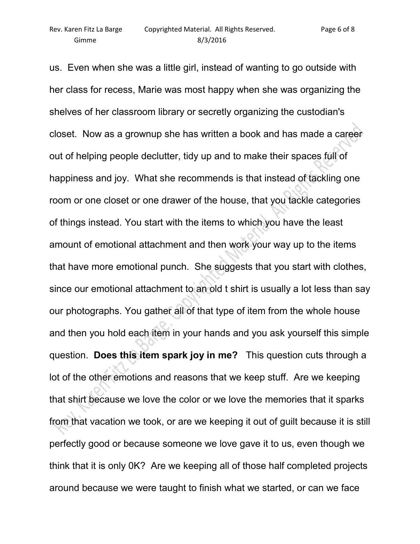us. Even when she was a little girl, instead of wanting to go outside with her class for recess, Marie was most happy when she was organizing the shelves of her classroom library or secretly organizing the custodian's closet. Now as a grownup she has written a book and has made a career out of helping people declutter, tidy up and to make their spaces full of happiness and joy. What she recommends is that instead of tackling one room or one closet or one drawer of the house, that you tackle categories of things instead. You start with the items to which you have the least amount of emotional attachment and then work your way up to the items that have more emotional punch. She suggests that you start with clothes, since our emotional attachment to an old t shirt is usually a lot less than say our photographs. You gather all of that type of item from the whole house and then you hold each item in your hands and you ask yourself this simple question. **Does this item spark joy in me?** This question cuts through a lot of the other emotions and reasons that we keep stuff. Are we keeping that shirt because we love the color or we love the memories that it sparks from that vacation we took, or are we keeping it out of guilt because it is still perfectly good or because someone we love gave it to us, even though we think that it is only 0K? Are we keeping all of those half completed projects around because we were taught to finish what we started, or can we face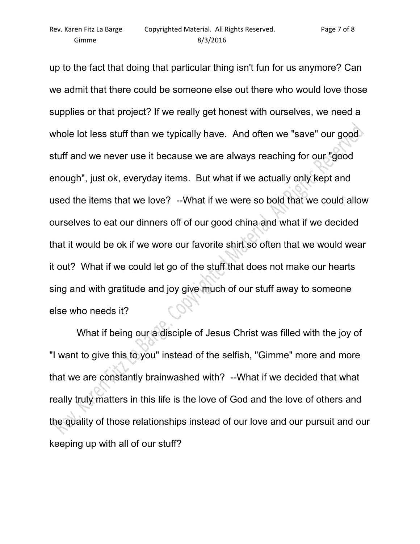up to the fact that doing that particular thing isn't fun for us anymore? Can we admit that there could be someone else out there who would love those supplies or that project? If we really get honest with ourselves, we need a whole lot less stuff than we typically have. And often we "save" our good stuff and we never use it because we are always reaching for our "good enough", just ok, everyday items. But what if we actually only kept and used the items that we love? --What if we were so bold that we could allow ourselves to eat our dinners off of our good china and what if we decided that it would be ok if we wore our favorite shirt so often that we would wear it out? What if we could let go of the stuff that does not make our hearts sing and with gratitude and joy give much of our stuff away to someone else who needs it?

 What if being our a disciple of Jesus Christ was filled with the joy of "I want to give this to you" instead of the selfish, "Gimme" more and more that we are constantly brainwashed with? --What if we decided that what really truly matters in this life is the love of God and the love of others and the quality of those relationships instead of our love and our pursuit and our keeping up with all of our stuff?